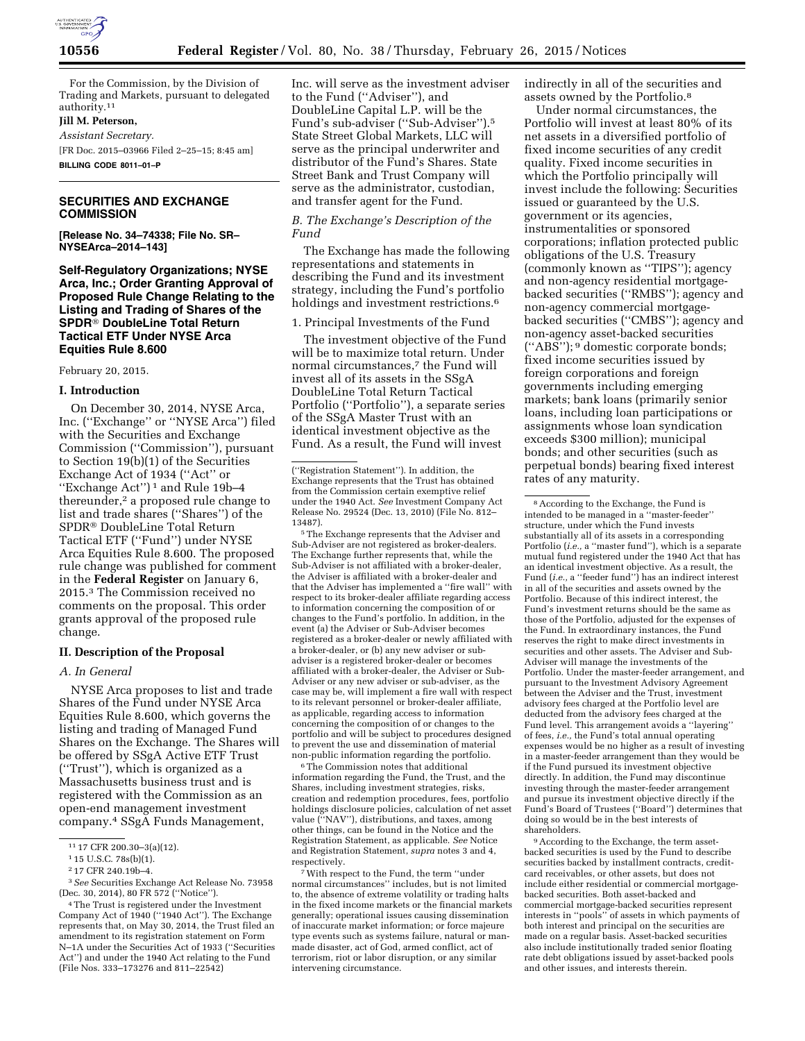

For the Commission, by the Division of Trading and Markets, pursuant to delegated authority.11

# **Jill M. Peterson,**

*Assistant Secretary.* 

[FR Doc. 2015–03966 Filed 2–25–15; 8:45 am]

**BILLING CODE 8011–01–P** 

# **SECURITIES AND EXCHANGE COMMISSION**

**[Release No. 34–74338; File No. SR– NYSEArca–2014–143]** 

**Self-Regulatory Organizations; NYSE Arca, Inc.; Order Granting Approval of Proposed Rule Change Relating to the Listing and Trading of Shares of the SPDR**® **DoubleLine Total Return Tactical ETF Under NYSE Arca Equities Rule 8.600** 

February 20, 2015.

#### **I. Introduction**

On December 30, 2014, NYSE Arca, Inc. (''Exchange'' or ''NYSE Arca'') filed with the Securities and Exchange Commission (''Commission''), pursuant to Section 19(b)(1) of the Securities Exchange Act of 1934 (''Act'' or ''Exchange Act'') 1 and Rule 19b–4 thereunder,<sup>2</sup> a proposed rule change to list and trade shares (''Shares'') of the SPDR® DoubleLine Total Return Tactical ETF (''Fund'') under NYSE Arca Equities Rule 8.600. The proposed rule change was published for comment in the **Federal Register** on January 6, 2015.3 The Commission received no comments on the proposal. This order grants approval of the proposed rule change.

### **II. Description of the Proposal**

## *A. In General*

NYSE Arca proposes to list and trade Shares of the Fund under NYSE Arca Equities Rule 8.600, which governs the listing and trading of Managed Fund Shares on the Exchange. The Shares will be offered by SSgA Active ETF Trust (''Trust''), which is organized as a Massachusetts business trust and is registered with the Commission as an open-end management investment company.4 SSgA Funds Management,

Inc. will serve as the investment adviser to the Fund (''Adviser''), and DoubleLine Capital L.P. will be the Fund's sub-adviser (''Sub-Adviser'').5 State Street Global Markets, LLC will serve as the principal underwriter and distributor of the Fund's Shares. State Street Bank and Trust Company will serve as the administrator, custodian, and transfer agent for the Fund.

## *B. The Exchange's Description of the Fund*

The Exchange has made the following representations and statements in describing the Fund and its investment strategy, including the Fund's portfolio holdings and investment restrictions.6

1. Principal Investments of the Fund

The investment objective of the Fund will be to maximize total return. Under normal circumstances,<sup>7</sup> the Fund will invest all of its assets in the SSgA DoubleLine Total Return Tactical Portfolio (''Portfolio''), a separate series of the SSgA Master Trust with an identical investment objective as the Fund. As a result, the Fund will invest

5The Exchange represents that the Adviser and Sub-Adviser are not registered as broker-dealers. The Exchange further represents that, while the Sub-Adviser is not affiliated with a broker-dealer, the Adviser is affiliated with a broker-dealer and that the Adviser has implemented a ''fire wall'' with respect to its broker-dealer affiliate regarding access to information concerning the composition of or changes to the Fund's portfolio. In addition, in the event (a) the Adviser or Sub-Adviser becomes registered as a broker-dealer or newly affiliated with a broker-dealer, or (b) any new adviser or subadviser is a registered broker-dealer or becomes affiliated with a broker-dealer, the Adviser or Sub-Adviser or any new adviser or sub-adviser, as the case may be, will implement a fire wall with respect to its relevant personnel or broker-dealer affiliate, as applicable, regarding access to information concerning the composition of or changes to the portfolio and will be subject to procedures designed to prevent the use and dissemination of material non-public information regarding the portfolio.

 $^{\rm 6}$  The Commission notes that additional information regarding the Fund, the Trust, and the Shares, including investment strategies, risks, creation and redemption procedures, fees, portfolio holdings disclosure policies, calculation of net asset value (''NAV''), distributions, and taxes, among other things, can be found in the Notice and the Registration Statement, as applicable. *See* Notice and Registration Statement, *supra* notes 3 and 4, respectively.

7With respect to the Fund, the term ''under normal circumstances'' includes, but is not limited to, the absence of extreme volatility or trading halts in the fixed income markets or the financial markets generally; operational issues causing dissemination of inaccurate market information; or force majeure type events such as systems failure, natural or manmade disaster, act of God, armed conflict, act of terrorism, riot or labor disruption, or any similar intervening circumstance.

indirectly in all of the securities and assets owned by the Portfolio.8

Under normal circumstances, the Portfolio will invest at least 80% of its net assets in a diversified portfolio of fixed income securities of any credit quality. Fixed income securities in which the Portfolio principally will invest include the following: Securities issued or guaranteed by the U.S. government or its agencies, instrumentalities or sponsored corporations; inflation protected public obligations of the U.S. Treasury (commonly known as ''TIPS''); agency and non-agency residential mortgagebacked securities (''RMBS''); agency and non-agency commercial mortgagebacked securities (''CMBS''); agency and non-agency asset-backed securities (''ABS''); 9 domestic corporate bonds; fixed income securities issued by foreign corporations and foreign governments including emerging markets; bank loans (primarily senior loans, including loan participations or assignments whose loan syndication exceeds \$300 million); municipal bonds; and other securities (such as perpetual bonds) bearing fixed interest rates of any maturity.

9According to the Exchange, the term assetbacked securities is used by the Fund to describe securities backed by installment contracts, creditcard receivables, or other assets, but does not include either residential or commercial mortgagebacked securities. Both asset-backed and commercial mortgage-backed securities represent interests in ''pools'' of assets in which payments of both interest and principal on the securities are made on a regular basis. Asset-backed securities also include institutionally traded senior floating rate debt obligations issued by asset-backed pools and other issues, and interests therein.

<sup>11</sup> 17 CFR 200.30–3(a)(12).

<sup>1</sup> 15 U.S.C. 78s(b)(1).

<sup>2</sup> 17 CFR 240.19b–4.

<sup>3</sup>*See* Securities Exchange Act Release No. 73958 (Dec. 30, 2014), 80 FR 572 (''Notice'').

<sup>4</sup>The Trust is registered under the Investment Company Act of 1940 (''1940 Act''). The Exchange represents that, on May 30, 2014, the Trust filed an amendment to its registration statement on Form N–1A under the Securities Act of 1933 (''Securities Act'') and under the 1940 Act relating to the Fund (File Nos. 333–173276 and 811–22542)

<sup>(&#</sup>x27;'Registration Statement''). In addition, the Exchange represents that the Trust has obtained from the Commission certain exemptive relief under the 1940 Act. *See* Investment Company Act Release No. 29524 (Dec. 13, 2010) (File No. 812– 13487).

<sup>8</sup>According to the Exchange, the Fund is intended to be managed in a ''master-feeder'' structure, under which the Fund invests substantially all of its assets in a corresponding Portfolio (*i.e.,* a ''master fund''), which is a separate mutual fund registered under the 1940 Act that has an identical investment objective. As a result, the Fund (*i.e.,* a ''feeder fund'') has an indirect interest in all of the securities and assets owned by the Portfolio. Because of this indirect interest, the Fund's investment returns should be the same as those of the Portfolio, adjusted for the expenses of the Fund. In extraordinary instances, the Fund reserves the right to make direct investments in securities and other assets. The Adviser and Sub-Adviser will manage the investments of the Portfolio. Under the master-feeder arrangement, and pursuant to the Investment Advisory Agreement between the Adviser and the Trust, investment advisory fees charged at the Portfolio level are deducted from the advisory fees charged at the Fund level. This arrangement avoids a ''layering'' of fees, *i.e.,* the Fund's total annual operating expenses would be no higher as a result of investing in a master-feeder arrangement than they would be if the Fund pursued its investment objective directly. In addition, the Fund may discontinue investing through the master-feeder arrangement and pursue its investment objective directly if the Fund's Board of Trustees (''Board'') determines that doing so would be in the best interests of shareholders.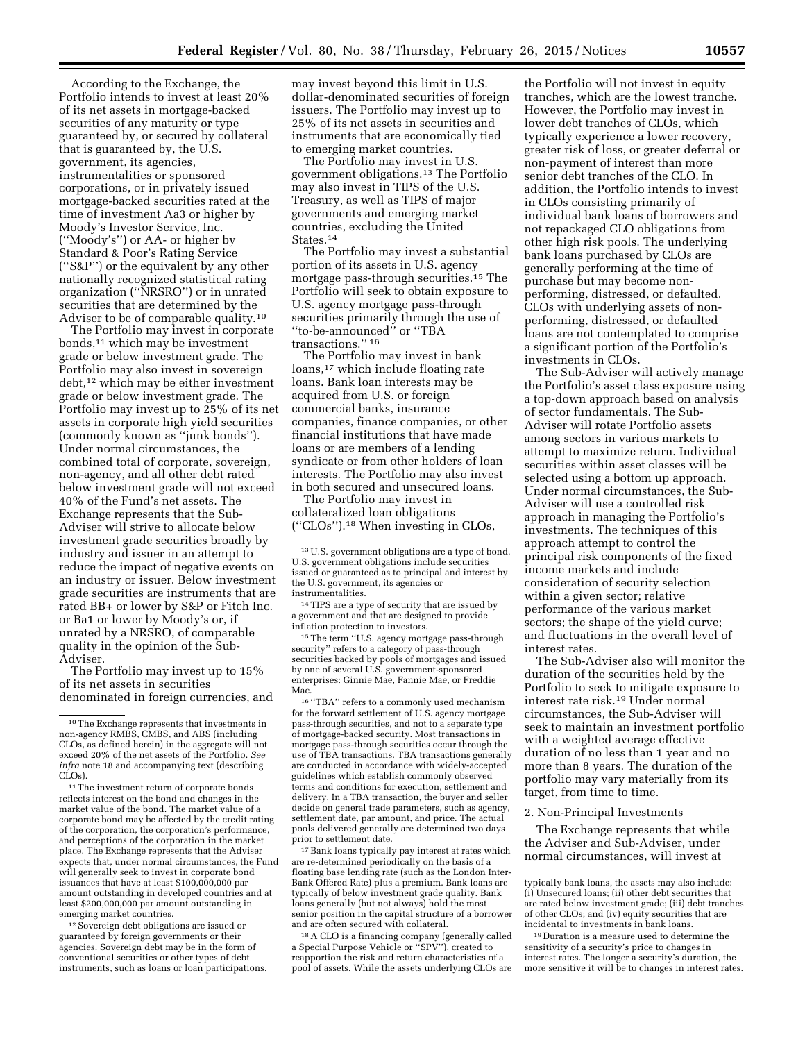According to the Exchange, the Portfolio intends to invest at least 20% of its net assets in mortgage-backed securities of any maturity or type guaranteed by, or secured by collateral that is guaranteed by, the U.S. government, its agencies, instrumentalities or sponsored corporations, or in privately issued mortgage-backed securities rated at the time of investment Aa3 or higher by Moody's Investor Service, Inc. (''Moody's'') or AA- or higher by Standard & Poor's Rating Service (''S&P'') or the equivalent by any other nationally recognized statistical rating organization (''NRSRO'') or in unrated securities that are determined by the Adviser to be of comparable quality.10

The Portfolio may invest in corporate bonds,11 which may be investment grade or below investment grade. The Portfolio may also invest in sovereign debt,12 which may be either investment grade or below investment grade. The Portfolio may invest up to 25% of its net assets in corporate high yield securities (commonly known as ''junk bonds''). Under normal circumstances, the combined total of corporate, sovereign, non-agency, and all other debt rated below investment grade will not exceed 40% of the Fund's net assets. The Exchange represents that the Sub-Adviser will strive to allocate below investment grade securities broadly by industry and issuer in an attempt to reduce the impact of negative events on an industry or issuer. Below investment grade securities are instruments that are rated BB+ or lower by S&P or Fitch Inc. or Ba1 or lower by Moody's or, if unrated by a NRSRO, of comparable quality in the opinion of the Sub-Adviser.

The Portfolio may invest up to 15% of its net assets in securities denominated in foreign currencies, and

12Sovereign debt obligations are issued or guaranteed by foreign governments or their agencies. Sovereign debt may be in the form of conventional securities or other types of debt instruments, such as loans or loan participations.

may invest beyond this limit in U.S. dollar-denominated securities of foreign issuers. The Portfolio may invest up to 25% of its net assets in securities and instruments that are economically tied to emerging market countries.

The Portfolio may invest in U.S. government obligations.13 The Portfolio may also invest in TIPS of the U.S. Treasury, as well as TIPS of major governments and emerging market countries, excluding the United States.14

The Portfolio may invest a substantial portion of its assets in U.S. agency mortgage pass-through securities.15 The Portfolio will seek to obtain exposure to U.S. agency mortgage pass-through securities primarily through the use of ''to-be-announced'' or ''TBA transactions."<sup>16</sup>

The Portfolio may invest in bank loans,<sup>17</sup> which include floating rate loans. Bank loan interests may be acquired from U.S. or foreign commercial banks, insurance companies, finance companies, or other financial institutions that have made loans or are members of a lending syndicate or from other holders of loan interests. The Portfolio may also invest in both secured and unsecured loans.

The Portfolio may invest in collateralized loan obligations (''CLOs'').18 When investing in CLOs,

14TIPS are a type of security that are issued by a government and that are designed to provide inflation protection to investors.

15The term ''U.S. agency mortgage pass-through security'' refers to a category of pass-through securities backed by pools of mortgages and issued by one of several U.S. government-sponsored enterprises: Ginnie Mae, Fannie Mae, or Freddie Mac.

 $^{16\;\mathstrut \textbf{``TBA''}}$  refers to a commonly used mechanism for the forward settlement of U.S. agency mortgage pass-through securities, and not to a separate type of mortgage-backed security. Most transactions in mortgage pass-through securities occur through the use of TBA transactions. TBA transactions generally are conducted in accordance with widely-accepted guidelines which establish commonly observed terms and conditions for execution, settlement and delivery. In a TBA transaction, the buyer and seller decide on general trade parameters, such as agency, settlement date, par amount, and price. The actual pools delivered generally are determined two days prior to settlement date.

 $^{\rm 17}$  Bank loans typically pay interest at rates which are re-determined periodically on the basis of a floating base lending rate (such as the London Inter-Bank Offered Rate) plus a premium. Bank loans are typically of below investment grade quality. Bank loans generally (but not always) hold the most senior position in the capital structure of a borrower and are often secured with collateral.

18A CLO is a financing company (generally called a Special Purpose Vehicle or ''SPV''), created to reapportion the risk and return characteristics of a pool of assets. While the assets underlying CLOs are

the Portfolio will not invest in equity tranches, which are the lowest tranche. However, the Portfolio may invest in lower debt tranches of CLOs, which typically experience a lower recovery, greater risk of loss, or greater deferral or non-payment of interest than more senior debt tranches of the CLO. In addition, the Portfolio intends to invest in CLOs consisting primarily of individual bank loans of borrowers and not repackaged CLO obligations from other high risk pools. The underlying bank loans purchased by CLOs are generally performing at the time of purchase but may become nonperforming, distressed, or defaulted. CLOs with underlying assets of nonperforming, distressed, or defaulted loans are not contemplated to comprise a significant portion of the Portfolio's investments in CLOs.

The Sub-Adviser will actively manage the Portfolio's asset class exposure using a top-down approach based on analysis of sector fundamentals. The Sub-Adviser will rotate Portfolio assets among sectors in various markets to attempt to maximize return. Individual securities within asset classes will be selected using a bottom up approach. Under normal circumstances, the Sub-Adviser will use a controlled risk approach in managing the Portfolio's investments. The techniques of this approach attempt to control the principal risk components of the fixed income markets and include consideration of security selection within a given sector; relative performance of the various market sectors; the shape of the yield curve; and fluctuations in the overall level of interest rates.

The Sub-Adviser also will monitor the duration of the securities held by the Portfolio to seek to mitigate exposure to interest rate risk.19 Under normal circumstances, the Sub-Adviser will seek to maintain an investment portfolio with a weighted average effective duration of no less than 1 year and no more than 8 years. The duration of the portfolio may vary materially from its target, from time to time.

#### 2. Non-Principal Investments

The Exchange represents that while the Adviser and Sub-Adviser, under normal circumstances, will invest at

<sup>10</sup>The Exchange represents that investments in non-agency RMBS, CMBS, and ABS (including CLOs, as defined herein) in the aggregate will not exceed 20% of the net assets of the Portfolio. *See infra* note 18 and accompanying text (describing CLOs).

<sup>&</sup>lt;sup>11</sup>The investment return of corporate bonds reflects interest on the bond and changes in the market value of the bond. The market value of a corporate bond may be affected by the credit rating of the corporation, the corporation's performance, and perceptions of the corporation in the market place. The Exchange represents that the Adviser expects that, under normal circumstances, the Fund will generally seek to invest in corporate bond issuances that have at least \$100,000,000 par amount outstanding in developed countries and at least \$200,000,000 par amount outstanding in emerging market countries.

<sup>13</sup>U.S. government obligations are a type of bond. U.S. government obligations include securities issued or guaranteed as to principal and interest by the U.S. government, its agencies or instrumentalities.

typically bank loans, the assets may also include: (i) Unsecured loans; (ii) other debt securities that are rated below investment grade; (iii) debt tranches of other CLOs; and (iv) equity securities that are incidental to investments in bank loans.

<sup>19</sup> Duration is a measure used to determine the sensitivity of a security's price to changes in interest rates. The longer a security's duration, the more sensitive it will be to changes in interest rates.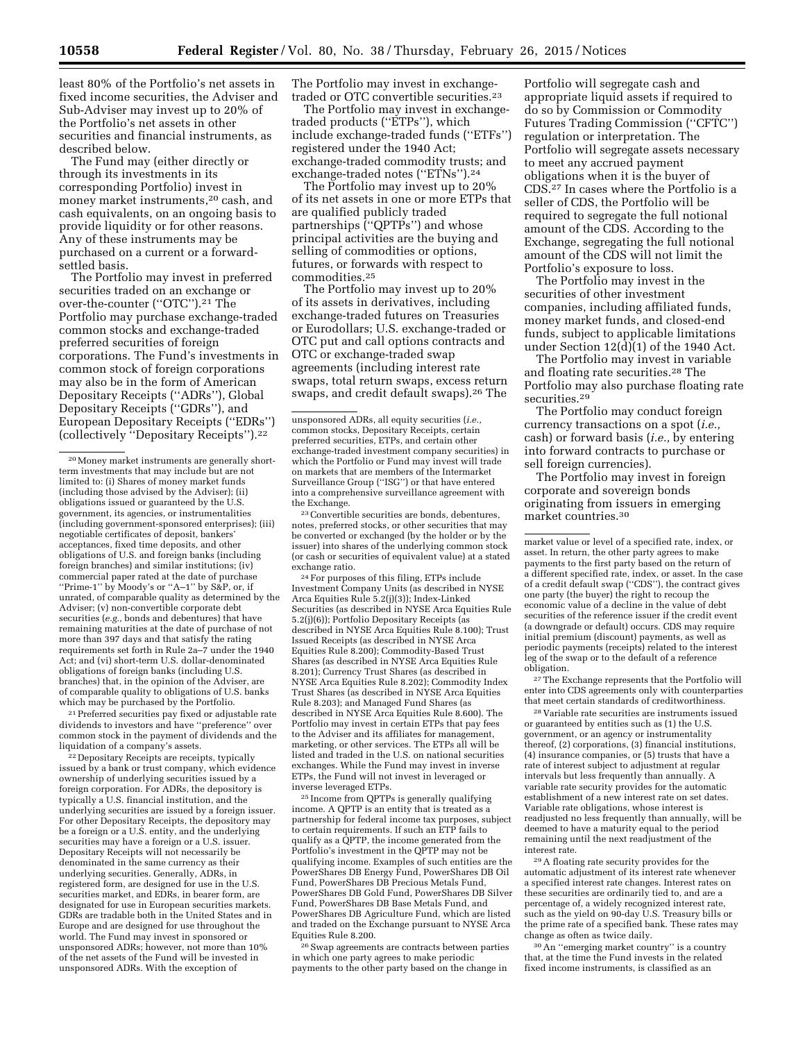least 80% of the Portfolio's net assets in fixed income securities, the Adviser and Sub-Adviser may invest up to 20% of the Portfolio's net assets in other securities and financial instruments, as described below.

The Fund may (either directly or through its investments in its corresponding Portfolio) invest in money market instruments,20 cash, and cash equivalents, on an ongoing basis to provide liquidity or for other reasons. Any of these instruments may be purchased on a current or a forwardsettled basis.

The Portfolio may invest in preferred securities traded on an exchange or over-the-counter (''OTC'').21 The Portfolio may purchase exchange-traded common stocks and exchange-traded preferred securities of foreign corporations. The Fund's investments in common stock of foreign corporations may also be in the form of American Depositary Receipts (''ADRs''), Global Depositary Receipts (''GDRs''), and European Depositary Receipts (''EDRs'') (collectively ''Depositary Receipts'').22

21Preferred securities pay fixed or adjustable rate dividends to investors and have ''preference'' over common stock in the payment of dividends and the liquidation of a company's assets.

<sup>22</sup> Depositary Receipts are receipts, typically issued by a bank or trust company, which evidence ownership of underlying securities issued by a foreign corporation. For ADRs, the depository is typically a U.S. financial institution, and the underlying securities are issued by a foreign issuer. For other Depositary Receipts, the depository may be a foreign or a U.S. entity, and the underlying securities may have a foreign or a U.S. issuer. Depositary Receipts will not necessarily be denominated in the same currency as their underlying securities. Generally, ADRs, in registered form, are designed for use in the U.S. securities market, and EDRs, in bearer form, are designated for use in European securities markets. GDRs are tradable both in the United States and in Europe and are designed for use throughout the world. The Fund may invest in sponsored or unsponsored ADRs; however, not more than 10% of the net assets of the Fund will be invested in unsponsored ADRs. With the exception of

The Portfolio may invest in exchangetraded or OTC convertible securities.23

The Portfolio may invest in exchangetraded products (''ETPs''), which include exchange-traded funds (''ETFs'') registered under the 1940 Act; exchange-traded commodity trusts; and exchange-traded notes ("ETNs").<sup>24</sup>

The Portfolio may invest up to 20% of its net assets in one or more ETPs that are qualified publicly traded partnerships (''QPTPs'') and whose principal activities are the buying and selling of commodities or options, futures, or forwards with respect to commodities.25

The Portfolio may invest up to 20% of its assets in derivatives, including exchange-traded futures on Treasuries or Eurodollars; U.S. exchange-traded or OTC put and call options contracts and OTC or exchange-traded swap agreements (including interest rate swaps, total return swaps, excess return swaps, and credit default swaps).<sup>26</sup> The

23Convertible securities are bonds, debentures, notes, preferred stocks, or other securities that may be converted or exchanged (by the holder or by the issuer) into shares of the underlying common stock (or cash or securities of equivalent value) at a stated exchange ratio.

24For purposes of this filing, ETPs include Investment Company Units (as described in NYSE Arca Equities Rule 5.2(j)(3)); Index-Linked Securities (as described in NYSE Arca Equities Rule 5.2(j)(6)); Portfolio Depositary Receipts (as described in NYSE Arca Equities Rule 8.100); Trust Issued Receipts (as described in NYSE Arca Equities Rule 8.200); Commodity-Based Trust Shares (as described in NYSE Arca Equities Rule 8.201); Currency Trust Shares (as described in NYSE Arca Equities Rule 8.202); Commodity Index Trust Shares (as described in NYSE Arca Equities Rule 8.203); and Managed Fund Shares (as described in NYSE Arca Equities Rule 8.600). The Portfolio may invest in certain ETPs that pay fees to the Adviser and its affiliates for management, marketing, or other services. The ETPs all will be listed and traded in the U.S. on national securities exchanges. While the Fund may invest in inverse ETPs, the Fund will not invest in leveraged or inverse leveraged ETPs.

25 Income from QPTPs is generally qualifying income. A QPTP is an entity that is treated as a partnership for federal income tax purposes, subject to certain requirements. If such an ETP fails to qualify as a QPTP, the income generated from the Portfolio's investment in the QPTP may not be qualifying income. Examples of such entities are the PowerShares DB Energy Fund, PowerShares DB Oil Fund, PowerShares DB Precious Metals Fund, PowerShares DB Gold Fund, PowerShares DB Silver Fund, PowerShares DB Base Metals Fund, and PowerShares DB Agriculture Fund, which are listed and traded on the Exchange pursuant to NYSE Arca Equities Rule 8.200.

26Swap agreements are contracts between parties in which one party agrees to make periodic payments to the other party based on the change in

Portfolio will segregate cash and appropriate liquid assets if required to do so by Commission or Commodity Futures Trading Commission (''CFTC'') regulation or interpretation. The Portfolio will segregate assets necessary to meet any accrued payment obligations when it is the buyer of CDS.27 In cases where the Portfolio is a seller of CDS, the Portfolio will be required to segregate the full notional amount of the CDS. According to the Exchange, segregating the full notional amount of the CDS will not limit the Portfolio's exposure to loss.

The Portfolio may invest in the securities of other investment companies, including affiliated funds, money market funds, and closed-end funds, subject to applicable limitations under Section  $12\overline{d}$ [1] of the 1940 Act.

The Portfolio may invest in variable and floating rate securities.28 The Portfolio may also purchase floating rate securities.29

The Portfolio may conduct foreign currency transactions on a spot (*i.e.,*  cash) or forward basis (*i.e.,* by entering into forward contracts to purchase or sell foreign currencies).

The Portfolio may invest in foreign corporate and sovereign bonds originating from issuers in emerging market countries.30

market value or level of a specified rate, index, or asset. In return, the other party agrees to make payments to the first party based on the return of a different specified rate, index, or asset. In the case of a credit default swap (''CDS''), the contract gives one party (the buyer) the right to recoup the economic value of a decline in the value of debt securities of the reference issuer if the credit event (a downgrade or default) occurs. CDS may require initial premium (discount) payments, as well as periodic payments (receipts) related to the interest leg of the swap or to the default of a reference obligation.

27The Exchange represents that the Portfolio will enter into CDS agreements only with counterparties that meet certain standards of creditworthiness.

28 Variable rate securities are instruments issued or guaranteed by entities such as (1) the U.S. government, or an agency or instrumentality thereof, (2) corporations, (3) financial institutions, (4) insurance companies, or (5) trusts that have a rate of interest subject to adjustment at regular intervals but less frequently than annually. A variable rate security provides for the automatic establishment of a new interest rate on set dates Variable rate obligations, whose interest is readjusted no less frequently than annually, will be deemed to have a maturity equal to the period remaining until the next readjustment of the interest rate.

29A floating rate security provides for the automatic adjustment of its interest rate whenever a specified interest rate changes. Interest rates on these securities are ordinarily tied to, and are a percentage of, a widely recognized interest rate, such as the yield on 90-day U.S. Treasury bills or the prime rate of a specified bank. These rates may change as often as twice daily.

30An ''emerging market country'' is a country that, at the time the Fund invests in the related fixed income instruments, is classified as an

<sup>20</sup>Money market instruments are generally shortterm investments that may include but are not limited to: (i) Shares of money market funds (including those advised by the Adviser); (ii) obligations issued or guaranteed by the U.S. government, its agencies, or instrumentalities (including government-sponsored enterprises); (iii) negotiable certificates of deposit, bankers' acceptances, fixed time deposits, and other obligations of U.S. and foreign banks (including foreign branches) and similar institutions; (iv) commercial paper rated at the date of purchase ''Prime-1'' by Moody's or ''A–1'' by S&P, or, if unrated, of comparable quality as determined by the Adviser; (v) non-convertible corporate debt securities (*e.g.,* bonds and debentures) that have remaining maturities at the date of purchase of not more than 397 days and that satisfy the rating requirements set forth in Rule 2a–7 under the 1940 Act; and (vi) short-term U.S. dollar-denominated obligations of foreign banks (including U.S. branches) that, in the opinion of the Adviser, are of comparable quality to obligations of U.S. banks which may be purchased by the Portfolio.

unsponsored ADRs, all equity securities (*i.e.,*  common stocks, Depositary Receipts, certain preferred securities, ETPs, and certain other exchange-traded investment company securities) in which the Portfolio or Fund may invest will trade on markets that are members of the Intermarket Surveillance Group (''ISG'') or that have entered into a comprehensive surveillance agreement with the Exchange.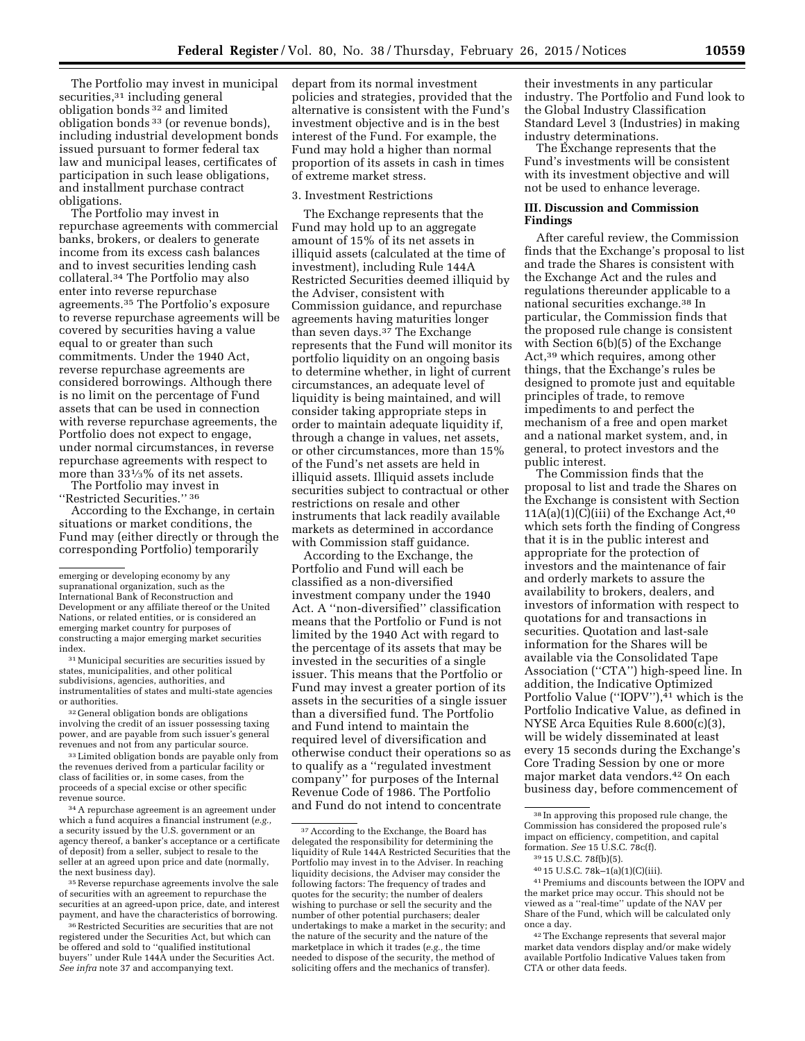The Portfolio may invest in municipal securities,<sup>31</sup> including general obligation bonds 32 and limited obligation bonds 33 (or revenue bonds), including industrial development bonds issued pursuant to former federal tax law and municipal leases, certificates of participation in such lease obligations, and installment purchase contract obligations.

The Portfolio may invest in repurchase agreements with commercial banks, brokers, or dealers to generate income from its excess cash balances and to invest securities lending cash collateral.34 The Portfolio may also enter into reverse repurchase agreements.35 The Portfolio's exposure to reverse repurchase agreements will be covered by securities having a value equal to or greater than such commitments. Under the 1940 Act, reverse repurchase agreements are considered borrowings. Although there is no limit on the percentage of Fund assets that can be used in connection with reverse repurchase agreements, the Portfolio does not expect to engage, under normal circumstances, in reverse repurchase agreements with respect to more than 331⁄3% of its net assets.

The Portfolio may invest in ''Restricted Securities.'' 36

According to the Exchange, in certain situations or market conditions, the Fund may (either directly or through the corresponding Portfolio) temporarily

31Municipal securities are securities issued by states, municipalities, and other political subdivisions, agencies, authorities, and instrumentalities of states and multi-state agencies or authorities.

<sup>32</sup> General obligation bonds are obligations involving the credit of an issuer possessing taxing power, and are payable from such issuer's general revenues and not from any particular source.

<sup>33</sup> Limited obligation bonds are payable only from the revenues derived from a particular facility or class of facilities or, in some cases, from the proceeds of a special excise or other specific revenue source.

34A repurchase agreement is an agreement under which a fund acquires a financial instrument (*e.g.,*  a security issued by the U.S. government or an agency thereof, a banker's acceptance or a certificate of deposit) from a seller, subject to resale to the seller at an agreed upon price and date (normally, the next business day).

35Reverse repurchase agreements involve the sale of securities with an agreement to repurchase the securities at an agreed-upon price, date, and interest payment, and have the characteristics of borrowing.

36Restricted Securities are securities that are not registered under the Securities Act, but which can be offered and sold to ''qualified institutional buyers'' under Rule 144A under the Securities Act. *See infra* note 37 and accompanying text.

depart from its normal investment policies and strategies, provided that the alternative is consistent with the Fund's investment objective and is in the best interest of the Fund. For example, the Fund may hold a higher than normal proportion of its assets in cash in times of extreme market stress.

#### 3. Investment Restrictions

The Exchange represents that the Fund may hold up to an aggregate amount of 15% of its net assets in illiquid assets (calculated at the time of investment), including Rule 144A Restricted Securities deemed illiquid by the Adviser, consistent with Commission guidance, and repurchase agreements having maturities longer than seven days.37 The Exchange represents that the Fund will monitor its portfolio liquidity on an ongoing basis to determine whether, in light of current circumstances, an adequate level of liquidity is being maintained, and will consider taking appropriate steps in order to maintain adequate liquidity if, through a change in values, net assets, or other circumstances, more than 15% of the Fund's net assets are held in illiquid assets. Illiquid assets include securities subject to contractual or other restrictions on resale and other instruments that lack readily available markets as determined in accordance with Commission staff guidance.

According to the Exchange, the Portfolio and Fund will each be classified as a non-diversified investment company under the 1940 Act. A ''non-diversified'' classification means that the Portfolio or Fund is not limited by the 1940 Act with regard to the percentage of its assets that may be invested in the securities of a single issuer. This means that the Portfolio or Fund may invest a greater portion of its assets in the securities of a single issuer than a diversified fund. The Portfolio and Fund intend to maintain the required level of diversification and otherwise conduct their operations so as to qualify as a ''regulated investment company'' for purposes of the Internal Revenue Code of 1986. The Portfolio and Fund do not intend to concentrate

their investments in any particular industry. The Portfolio and Fund look to the Global Industry Classification Standard Level 3 (Industries) in making industry determinations.

The Exchange represents that the Fund's investments will be consistent with its investment objective and will not be used to enhance leverage.

## **III. Discussion and Commission Findings**

After careful review, the Commission finds that the Exchange's proposal to list and trade the Shares is consistent with the Exchange Act and the rules and regulations thereunder applicable to a national securities exchange.38 In particular, the Commission finds that the proposed rule change is consistent with Section 6(b)(5) of the Exchange Act,39 which requires, among other things, that the Exchange's rules be designed to promote just and equitable principles of trade, to remove impediments to and perfect the mechanism of a free and open market and a national market system, and, in general, to protect investors and the public interest.

The Commission finds that the proposal to list and trade the Shares on the Exchange is consistent with Section  $11A(a)(1)(C)(iii)$  of the Exchange Act,<sup>40</sup> which sets forth the finding of Congress that it is in the public interest and appropriate for the protection of investors and the maintenance of fair and orderly markets to assure the availability to brokers, dealers, and investors of information with respect to quotations for and transactions in securities. Quotation and last-sale information for the Shares will be available via the Consolidated Tape Association (''CTA'') high-speed line. In addition, the Indicative Optimized Portfolio Value ("IOPV"), $41$  which is the Portfolio Indicative Value, as defined in NYSE Arca Equities Rule 8.600(c)(3), will be widely disseminated at least every 15 seconds during the Exchange's Core Trading Session by one or more major market data vendors.42 On each business day, before commencement of

38 In approving this proposed rule change, the Commission has considered the proposed rule's impact on efficiency, competition, and capital formation. *See* 15 U.S.C. 78c(f).

41Premiums and discounts between the IOPV and the market price may occur. This should not be viewed as a ''real-time'' update of the NAV per Share of the Fund, which will be calculated only once a day.

42The Exchange represents that several major market data vendors display and/or make widely available Portfolio Indicative Values taken from CTA or other data feeds.

emerging or developing economy by any supranational organization, such as the International Bank of Reconstruction and Development or any affiliate thereof or the United Nations, or related entities, or is considered an emerging market country for purposes of constructing a major emerging market securities index.

<sup>37</sup>According to the Exchange, the Board has delegated the responsibility for determining the liquidity of Rule 144A Restricted Securities that the Portfolio may invest in to the Adviser. In reaching liquidity decisions, the Adviser may consider the following factors: The frequency of trades and quotes for the security; the number of dealers wishing to purchase or sell the security and the number of other potential purchasers; dealer undertakings to make a market in the security; and the nature of the security and the nature of the marketplace in which it trades (*e.g.,* the time needed to dispose of the security, the method of soliciting offers and the mechanics of transfer).

<sup>39</sup> 15 U.S.C. 78f(b)(5).

<sup>40</sup> 15 U.S.C. 78k–1(a)(1)(C)(iii).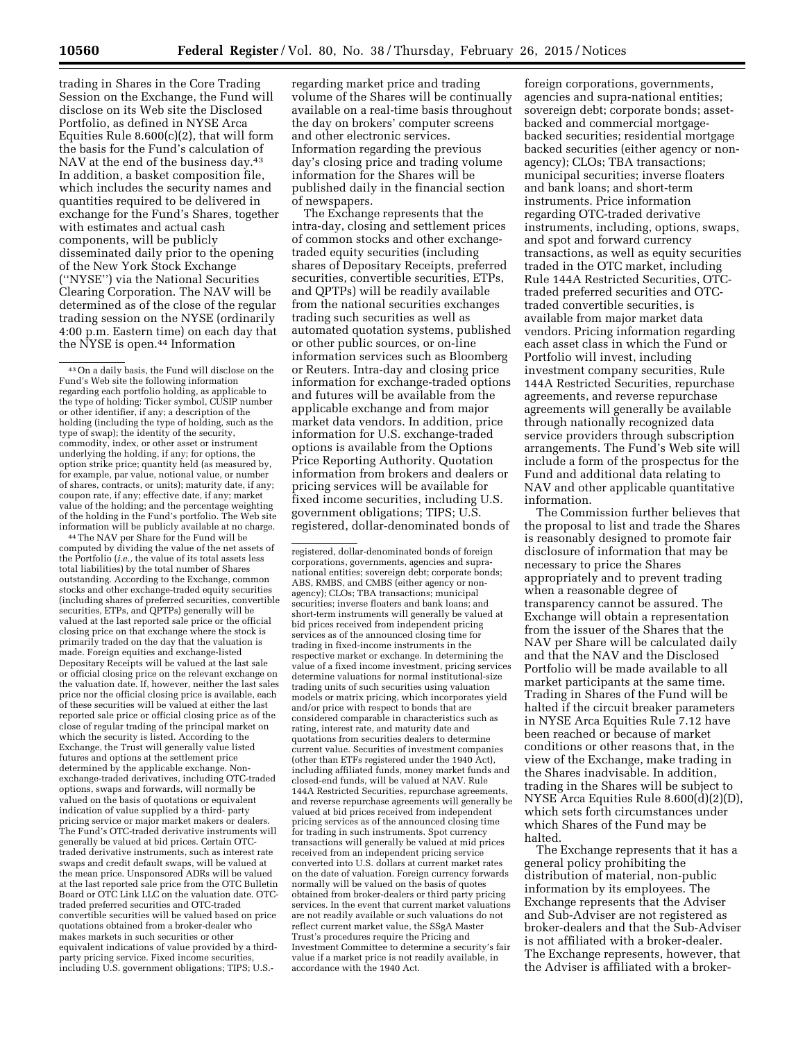trading in Shares in the Core Trading Session on the Exchange, the Fund will disclose on its Web site the Disclosed Portfolio, as defined in NYSE Arca Equities Rule 8.600(c)(2), that will form the basis for the Fund's calculation of NAV at the end of the business day.<sup>43</sup> In addition, a basket composition file, which includes the security names and quantities required to be delivered in exchange for the Fund's Shares, together with estimates and actual cash components, will be publicly disseminated daily prior to the opening of the New York Stock Exchange (''NYSE'') via the National Securities Clearing Corporation. The NAV will be determined as of the close of the regular trading session on the NYSE (ordinarily 4:00 p.m. Eastern time) on each day that the NYSE is open.44 Information

44The NAV per Share for the Fund will be computed by dividing the value of the net assets of the Portfolio (*i.e.,* the value of its total assets less total liabilities) by the total number of Shares outstanding. According to the Exchange, common stocks and other exchange-traded equity securities (including shares of preferred securities, convertible securities, ETPs, and QPTPs) generally will be valued at the last reported sale price or the official closing price on that exchange where the stock is primarily traded on the day that the valuation is made. Foreign equities and exchange-listed Depositary Receipts will be valued at the last sale or official closing price on the relevant exchange on the valuation date. If, however, neither the last sales price nor the official closing price is available, each of these securities will be valued at either the last reported sale price or official closing price as of the close of regular trading of the principal market on which the security is listed. According to the Exchange, the Trust will generally value listed futures and options at the settlement price determined by the applicable exchange. Nonexchange-traded derivatives, including OTC-traded options, swaps and forwards, will normally be valued on the basis of quotations or equivalent indication of value supplied by a third- party pricing service or major market makers or dealers. The Fund's OTC-traded derivative instruments will generally be valued at bid prices. Certain OTCtraded derivative instruments, such as interest rate swaps and credit default swaps, will be valued at the mean price. Unsponsored ADRs will be valued at the last reported sale price from the OTC Bulletin Board or OTC Link LLC on the valuation date. OTCtraded preferred securities and OTC-traded convertible securities will be valued based on price quotations obtained from a broker-dealer who makes markets in such securities or other equivalent indications of value provided by a thirdparty pricing service. Fixed income securities, including U.S. government obligations; TIPS; U.S.-

regarding market price and trading volume of the Shares will be continually available on a real-time basis throughout the day on brokers' computer screens and other electronic services. Information regarding the previous day's closing price and trading volume information for the Shares will be published daily in the financial section of newspapers.

The Exchange represents that the intra-day, closing and settlement prices of common stocks and other exchangetraded equity securities (including shares of Depositary Receipts, preferred securities, convertible securities, ETPs, and QPTPs) will be readily available from the national securities exchanges trading such securities as well as automated quotation systems, published or other public sources, or on-line information services such as Bloomberg or Reuters. Intra-day and closing price information for exchange-traded options and futures will be available from the applicable exchange and from major market data vendors. In addition, price information for U.S. exchange-traded options is available from the Options Price Reporting Authority. Quotation information from brokers and dealers or pricing services will be available for fixed income securities, including U.S. government obligations; TIPS; U.S. registered, dollar-denominated bonds of

registered, dollar-denominated bonds of foreign corporations, governments, agencies and supranational entities; sovereign debt; corporate bonds; ABS, RMBS, and CMBS (either agency or nonagency); CLOs; TBA transactions; municipal securities; inverse floaters and bank loans; and short-term instruments will generally be valued at bid prices received from independent pricing services as of the announced closing time for trading in fixed-income instruments in the respective market or exchange. In determining the value of a fixed income investment, pricing services determine valuations for normal institutional-size trading units of such securities using valuation models or matrix pricing, which incorporates yield and/or price with respect to bonds that are considered comparable in characteristics such as rating, interest rate, and maturity date and quotations from securities dealers to determine current value. Securities of investment companies (other than ETFs registered under the 1940 Act), including affiliated funds, money market funds and closed-end funds, will be valued at NAV. Rule 144A Restricted Securities, repurchase agreements, and reverse repurchase agreements will generally be valued at bid prices received from independent pricing services as of the announced closing time for trading in such instruments. Spot currency transactions will generally be valued at mid prices received from an independent pricing service converted into U.S. dollars at current market rates on the date of valuation. Foreign currency forwards normally will be valued on the basis of quotes obtained from broker-dealers or third party pricing services. In the event that current market valuations are not readily available or such valuations do not reflect current market value, the SSgA Master Trust's procedures require the Pricing and Investment Committee to determine a security's fair value if a market price is not readily available, in accordance with the 1940 Act.

foreign corporations, governments, agencies and supra-national entities; sovereign debt; corporate bonds; assetbacked and commercial mortgagebacked securities; residential mortgage backed securities (either agency or nonagency); CLOs; TBA transactions; municipal securities; inverse floaters and bank loans; and short-term instruments. Price information regarding OTC-traded derivative instruments, including, options, swaps, and spot and forward currency transactions, as well as equity securities traded in the OTC market, including Rule 144A Restricted Securities, OTCtraded preferred securities and OTCtraded convertible securities, is available from major market data vendors. Pricing information regarding each asset class in which the Fund or Portfolio will invest, including investment company securities, Rule 144A Restricted Securities, repurchase agreements, and reverse repurchase agreements will generally be available through nationally recognized data service providers through subscription arrangements. The Fund's Web site will include a form of the prospectus for the Fund and additional data relating to NAV and other applicable quantitative information.

The Commission further believes that the proposal to list and trade the Shares is reasonably designed to promote fair disclosure of information that may be necessary to price the Shares appropriately and to prevent trading when a reasonable degree of transparency cannot be assured. The Exchange will obtain a representation from the issuer of the Shares that the NAV per Share will be calculated daily and that the NAV and the Disclosed Portfolio will be made available to all market participants at the same time. Trading in Shares of the Fund will be halted if the circuit breaker parameters in NYSE Arca Equities Rule 7.12 have been reached or because of market conditions or other reasons that, in the view of the Exchange, make trading in the Shares inadvisable. In addition, trading in the Shares will be subject to NYSE Arca Equities Rule 8.600(d)(2)(D), which sets forth circumstances under which Shares of the Fund may be halted.

The Exchange represents that it has a general policy prohibiting the distribution of material, non-public information by its employees. The Exchange represents that the Adviser and Sub-Adviser are not registered as broker-dealers and that the Sub-Adviser is not affiliated with a broker-dealer. The Exchange represents, however, that the Adviser is affiliated with a broker-

<sup>43</sup>On a daily basis, the Fund will disclose on the Fund's Web site the following information regarding each portfolio holding, as applicable to the type of holding: Ticker symbol, CUSIP number or other identifier, if any; a description of the holding (including the type of holding, such as the type of swap); the identity of the security, commodity, index, or other asset or instrument underlying the holding, if any; for options, the option strike price; quantity held (as measured by, for example, par value, notional value, or number of shares, contracts, or units); maturity date, if any; coupon rate, if any; effective date, if any; market value of the holding; and the percentage weighting of the holding in the Fund's portfolio. The Web site information will be publicly available at no charge.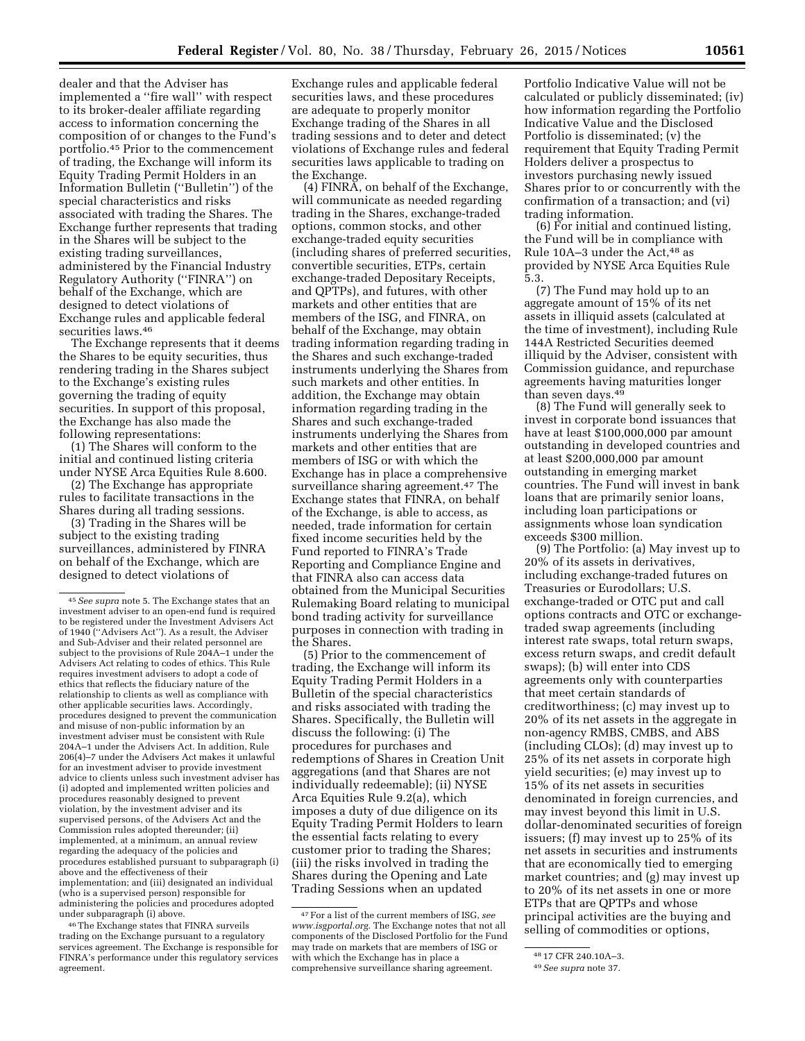dealer and that the Adviser has implemented a ''fire wall'' with respect to its broker-dealer affiliate regarding access to information concerning the composition of or changes to the Fund's portfolio.45 Prior to the commencement of trading, the Exchange will inform its Equity Trading Permit Holders in an Information Bulletin (''Bulletin'') of the special characteristics and risks associated with trading the Shares. The Exchange further represents that trading in the Shares will be subject to the existing trading surveillances, administered by the Financial Industry Regulatory Authority (''FINRA'') on behalf of the Exchange, which are designed to detect violations of Exchange rules and applicable federal securities laws.46

The Exchange represents that it deems the Shares to be equity securities, thus rendering trading in the Shares subject to the Exchange's existing rules governing the trading of equity securities. In support of this proposal, the Exchange has also made the following representations:

(1) The Shares will conform to the initial and continued listing criteria under NYSE Arca Equities Rule 8.600.

(2) The Exchange has appropriate rules to facilitate transactions in the Shares during all trading sessions.

(3) Trading in the Shares will be subject to the existing trading surveillances, administered by FINRA on behalf of the Exchange, which are designed to detect violations of

46The Exchange states that FINRA surveils trading on the Exchange pursuant to a regulatory services agreement. The Exchange is responsible for FINRA's performance under this regulatory services agreement.

Exchange rules and applicable federal securities laws, and these procedures are adequate to properly monitor Exchange trading of the Shares in all trading sessions and to deter and detect violations of Exchange rules and federal securities laws applicable to trading on the Exchange.

(4) FINRA, on behalf of the Exchange, will communicate as needed regarding trading in the Shares, exchange-traded options, common stocks, and other exchange-traded equity securities (including shares of preferred securities, convertible securities, ETPs, certain exchange-traded Depositary Receipts, and QPTPs), and futures, with other markets and other entities that are members of the ISG, and FINRA, on behalf of the Exchange, may obtain trading information regarding trading in the Shares and such exchange-traded instruments underlying the Shares from such markets and other entities. In addition, the Exchange may obtain information regarding trading in the Shares and such exchange-traded instruments underlying the Shares from markets and other entities that are members of ISG or with which the Exchange has in place a comprehensive surveillance sharing agreement.<sup>47</sup> The Exchange states that FINRA, on behalf of the Exchange, is able to access, as needed, trade information for certain fixed income securities held by the Fund reported to FINRA's Trade Reporting and Compliance Engine and that FINRA also can access data obtained from the Municipal Securities Rulemaking Board relating to municipal bond trading activity for surveillance purposes in connection with trading in the Shares.

(5) Prior to the commencement of trading, the Exchange will inform its Equity Trading Permit Holders in a Bulletin of the special characteristics and risks associated with trading the Shares. Specifically, the Bulletin will discuss the following: (i) The procedures for purchases and redemptions of Shares in Creation Unit aggregations (and that Shares are not individually redeemable); (ii) NYSE Arca Equities Rule 9.2(a), which imposes a duty of due diligence on its Equity Trading Permit Holders to learn the essential facts relating to every customer prior to trading the Shares; (iii) the risks involved in trading the Shares during the Opening and Late Trading Sessions when an updated

Portfolio Indicative Value will not be calculated or publicly disseminated; (iv) how information regarding the Portfolio Indicative Value and the Disclosed Portfolio is disseminated; (v) the requirement that Equity Trading Permit Holders deliver a prospectus to investors purchasing newly issued Shares prior to or concurrently with the confirmation of a transaction; and (vi) trading information.

(6) For initial and continued listing, the Fund will be in compliance with Rule 10A-3 under the Act,<sup>48</sup> as provided by NYSE Arca Equities Rule 5.3.

(7) The Fund may hold up to an aggregate amount of 15% of its net assets in illiquid assets (calculated at the time of investment), including Rule 144A Restricted Securities deemed illiquid by the Adviser, consistent with Commission guidance, and repurchase agreements having maturities longer than seven days.49

(8) The Fund will generally seek to invest in corporate bond issuances that have at least \$100,000,000 par amount outstanding in developed countries and at least \$200,000,000 par amount outstanding in emerging market countries. The Fund will invest in bank loans that are primarily senior loans, including loan participations or assignments whose loan syndication exceeds \$300 million.

(9) The Portfolio: (a) May invest up to 20% of its assets in derivatives, including exchange-traded futures on Treasuries or Eurodollars; U.S. exchange-traded or OTC put and call options contracts and OTC or exchangetraded swap agreements (including interest rate swaps, total return swaps, excess return swaps, and credit default swaps); (b) will enter into CDS agreements only with counterparties that meet certain standards of creditworthiness; (c) may invest up to 20% of its net assets in the aggregate in non-agency RMBS, CMBS, and ABS (including CLOs); (d) may invest up to 25% of its net assets in corporate high yield securities; (e) may invest up to 15% of its net assets in securities denominated in foreign currencies, and may invest beyond this limit in U.S. dollar-denominated securities of foreign issuers; (f) may invest up to 25% of its net assets in securities and instruments that are economically tied to emerging market countries; and (g) may invest up to 20% of its net assets in one or more ETPs that are QPTPs and whose principal activities are the buying and selling of commodities or options,

<sup>45</sup>*See supra* note 5. The Exchange states that an investment adviser to an open-end fund is required to be registered under the Investment Advisers Act of 1940 (''Advisers Act''). As a result, the Adviser and Sub-Adviser and their related personnel are subject to the provisions of Rule 204A–1 under the Advisers Act relating to codes of ethics. This Rule requires investment advisers to adopt a code of ethics that reflects the fiduciary nature of the relationship to clients as well as compliance with other applicable securities laws. Accordingly, procedures designed to prevent the communication and misuse of non-public information by an investment adviser must be consistent with Rule 204A–1 under the Advisers Act. In addition, Rule 206(4)–7 under the Advisers Act makes it unlawful for an investment adviser to provide investment advice to clients unless such investment adviser has (i) adopted and implemented written policies and procedures reasonably designed to prevent violation, by the investment adviser and its supervised persons, of the Advisers Act and the Commission rules adopted thereunder; (ii) implemented, at a minimum, an annual review regarding the adequacy of the policies and procedures established pursuant to subparagraph (i) above and the effectiveness of their implementation; and (iii) designated an individual (who is a supervised person) responsible for administering the policies and procedures adopted under subparagraph (i) above.

<sup>47</sup>For a list of the current members of ISG, *see [www.isgportal.org.](http://www.isgportal.org)* The Exchange notes that not all components of the Disclosed Portfolio for the Fund may trade on markets that are members of ISG or with which the Exchange has in place a comprehensive surveillance sharing agreement.

<sup>48</sup> 17 CFR 240.10A–3.

<sup>49</sup>*See supra* note 37.